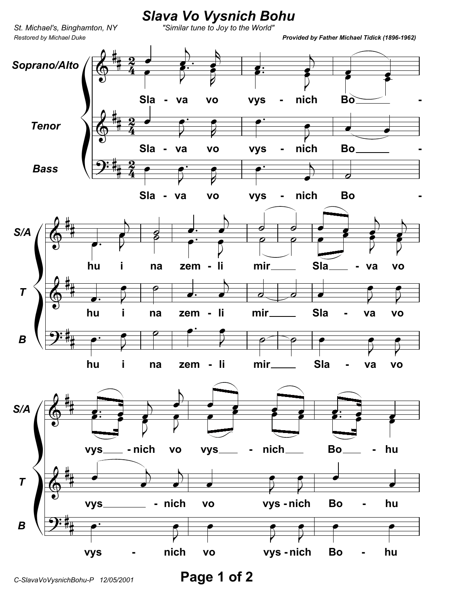

Page 1 of 2